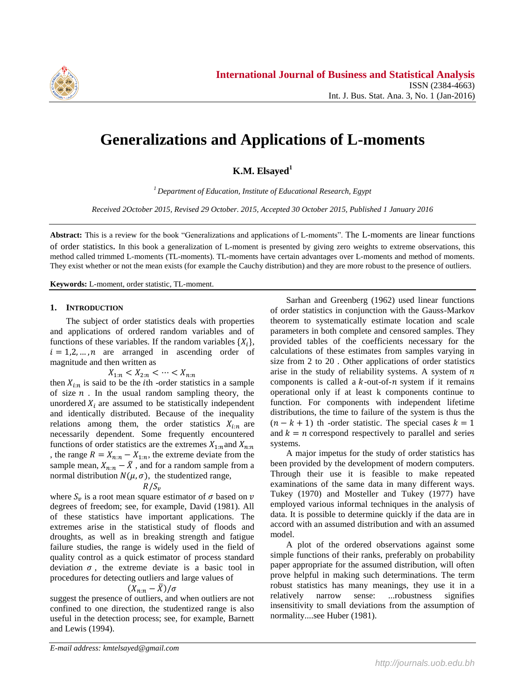

# **Generalizations and Applications of L-moments**

**K.M. Elsayed<sup>1</sup>**

*<sup>1</sup>Department of Education, Institute of Educational Research, Egypt*

*Received 2October 2015, Revised 29 October. 2015, Accepted 30 October 2015, Published 1 January 2016*

**Abstract:** This is a review for the book "Generalizations and applications of L-moments". The L-moments are linear functions of order statistics. In this book a generalization of L-moment is presented by giving zero weights to extreme observations, this method called trimmed L-moments (TL-moments). TL-moments have certain advantages over L-moments and method of moments. They exist whether or not the mean exists (for example the Cauchy distribution) and they are more robust to the presence of outliers.

**Keywords:** L-moment, order statistic, TL-moment.

#### **1. INTRODUCTION**

The subject of order statistics deals with properties and applications of ordered random variables and of functions of these variables. If the random variables  $\{X_i\}$ ,  $i = 1, 2, ..., n$  are arranged in ascending order of magnitude and then written as

$$
X_{1:n} < X_{2:n} < \cdots < X_{n:n}
$$

then  $X_{i:n}$  is said to be the *i*th -order statistics in a sample of size  $n$ . In the usual random sampling theory, the unordered  $X_i$  are assumed to be statistically independent and identically distributed. Because of the inequality relations among them, the order statistics  $X_{i:n}$  are necessarily dependent. Some frequently encountered functions of order statistics are the extremes  $X_{1:n}$  and  $X_{n:n}$ , the range  $R = X_{n:n} - X_{1:n}$ , the extreme deviate from the sample mean,  $X_{n:n} - \overline{X}$ , and for a random sample from a normal distribution  $N(\mu, \sigma)$ , the studentized range,

# $R/S_v$

where  $S_v$  is a root mean square estimator of  $\sigma$  based on degrees of freedom; see, for example, David (1981). All of these statistics have important applications. The extremes arise in the statistical study of floods and droughts, as well as in breaking strength and fatigue failure studies, the range is widely used in the field of quality control as a quick estimator of process standard deviation  $\sigma$ , the extreme deviate is a basic tool in procedures for detecting outliers and large values of

$$
(X_{n:n}-\bar{X})/\sigma
$$

suggest the presence of outliers, and when outliers are not confined to one direction, the studentized range is also useful in the detection process; see, for example, Barnett and Lewis (1994).

Sarhan and Greenberg (1962) used linear functions of order statistics in conjunction with the Gauss-Markov theorem to systematically estimate location and scale parameters in both complete and censored samples. They provided tables of the coefficients necessary for the calculations of these estimates from samples varying in size from 2 to 20 . Other applications of order statistics arise in the study of reliability systems. A system of  $n$ components is called a  $k$ -out-of- $n$  system if it remains operational only if at least k components continue to function. For components with independent lifetime distributions, the time to failure of the system is thus the  $(n - k + 1)$  th -order statistic. The special cases  $k = 1$ and  $k = n$  correspond respectively to parallel and series systems.

A major impetus for the study of order statistics has been provided by the development of modern computers. Through their use it is feasible to make repeated examinations of the same data in many different ways. Tukey (1970) and Mosteller and Tukey (1977) have employed various informal techniques in the analysis of data. It is possible to determine quickly if the data are in accord with an assumed distribution and with an assumed model.

A plot of the ordered observations against some simple functions of their ranks, preferably on probability paper appropriate for the assumed distribution, will often prove helpful in making such determinations. The term robust statistics has many meanings, they use it in a relatively narrow sense: ...robustness signifies insensitivity to small deviations from the assumption of normality....see Huber (1981).

*E-mail address: kmtelsayed@gmail.com*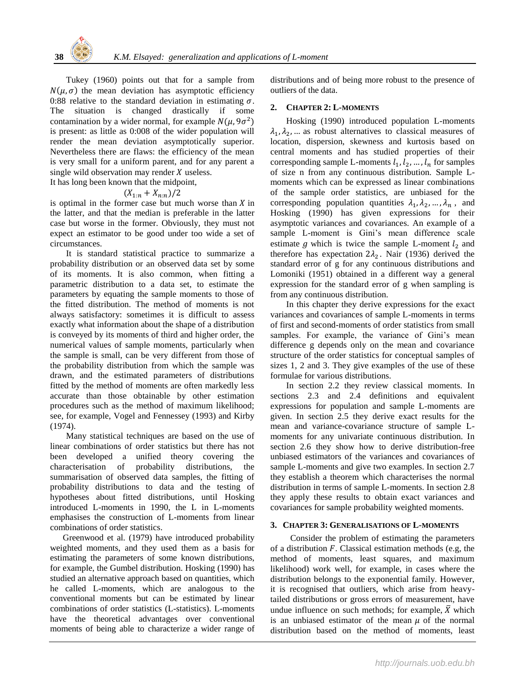Tukey (1960) points out that for a sample from  $N(\mu, \sigma)$  the mean deviation has asymptotic efficiency 0:88 relative to the standard deviation in estimating  $\sigma$ . The situation is changed drastically if some contamination by a wider normal, for example  $N(\mu, 9\sigma^2)$ is present: as little as 0:008 of the wider population will render the mean deviation asymptotically superior. Nevertheless there are flaws: the efficiency of the mean is very small for a uniform parent, and for any parent a single wild observation may render  $X$  useless.

It has long been known that the midpoint,

$$
(X_{1:n}+X_{n:n})/2
$$

is optimal in the former case but much worse than  $X$  in the latter, and that the median is preferable in the latter case but worse in the former. Obviously, they must not expect an estimator to be good under too wide a set of circumstances.

It is standard statistical practice to summarize a probability distribution or an observed data set by some of its moments. It is also common, when fitting a parametric distribution to a data set, to estimate the parameters by equating the sample moments to those of the fitted distribution. The method of moments is not always satisfactory: sometimes it is difficult to assess exactly what information about the shape of a distribution is conveyed by its moments of third and higher order, the numerical values of sample moments, particularly when the sample is small, can be very different from those of the probability distribution from which the sample was drawn, and the estimated parameters of distributions fitted by the method of moments are often markedly less accurate than those obtainable by other estimation procedures such as the method of maximum likelihood; see, for example, Vogel and Fennessey (1993) and Kirby (1974).

Many statistical techniques are based on the use of linear combinations of order statistics but there has not been developed a unified theory covering the characterisation of probability distributions, the summarisation of observed data samples, the fitting of probability distributions to data and the testing of hypotheses about fitted distributions, until Hosking introduced L-moments in 1990, the L in L-moments emphasises the construction of L-moments from linear combinations of order statistics.

Greenwood et al. (1979) have introduced probability weighted moments, and they used them as a basis for estimating the parameters of some known distributions, for example, the Gumbel distribution. Hosking (1990) has studied an alternative approach based on quantities, which he called L-moments, which are analogous to the conventional moments but can be estimated by linear combinations of order statistics (L-statistics). L-moments have the theoretical advantages over conventional moments of being able to characterize a wider range of distributions and of being more robust to the presence of outliers of the data.

#### **2. CHAPTER 2: L-MOMENTS**

Hosking (1990) introduced population L-moments  $\lambda_1, \lambda_2, \ldots$  as robust alternatives to classical measures of location, dispersion, skewness and kurtosis based on central moments and has studied properties of their corresponding sample L-moments  $l_1, l_2, ..., l_n$  for samples of size n from any continuous distribution. Sample Lmoments which can be expressed as linear combinations of the sample order statistics, are unbiased for the corresponding population quantities  $\lambda_1, \lambda_2, ..., \lambda_n$ , and Hosking (1990) has given expressions for their asymptotic variances and covariances. An example of a sample L-moment is Gini's mean difference scale estimate g which is twice the sample L-moment  $l_2$  and therefore has expectation  $2\lambda_2$ . Nair (1936) derived the standard error of g for any continuous distributions and Lomoniki (1951) obtained in a different way a general expression for the standard error of g when sampling is from any continuous distribution.

In this chapter they derive expressions for the exact variances and covariances of sample L-moments in terms of first and second-moments of order statistics from small samples. For example, the variance of Gini's mean difference g depends only on the mean and covariance structure of the order statistics for conceptual samples of sizes 1, 2 and 3. They give examples of the use of these formulae for various distributions.

In section 2.2 they review classical moments. In sections 2.3 and 2.4 definitions and equivalent expressions for population and sample L-moments are given. In section 2.5 they derive exact results for the mean and variance-covariance structure of sample Lmoments for any univariate continuous distribution. In section 2.6 they show how to derive distribution-free unbiased estimators of the variances and covariances of sample L-moments and give two examples. In section 2.7 they establish a theorem which characterises the normal distribution in terms of sample L-moments. In section 2.8 they apply these results to obtain exact variances and covariances for sample probability weighted moments.

## **3. CHAPTER 3: GENERALISATIONS OF L-MOMENTS**

Consider the problem of estimating the parameters of a distribution  $F$ . Classical estimation methods (e.g, the method of moments, least squares, and maximum likelihood) work well, for example, in cases where the distribution belongs to the exponential family. However, it is recognised that outliers, which arise from heavytailed distributions or gross errors of measurement, have undue influence on such methods; for example,  $\bar{X}$  which is an unbiased estimator of the mean  $\mu$  of the normal distribution based on the method of moments, least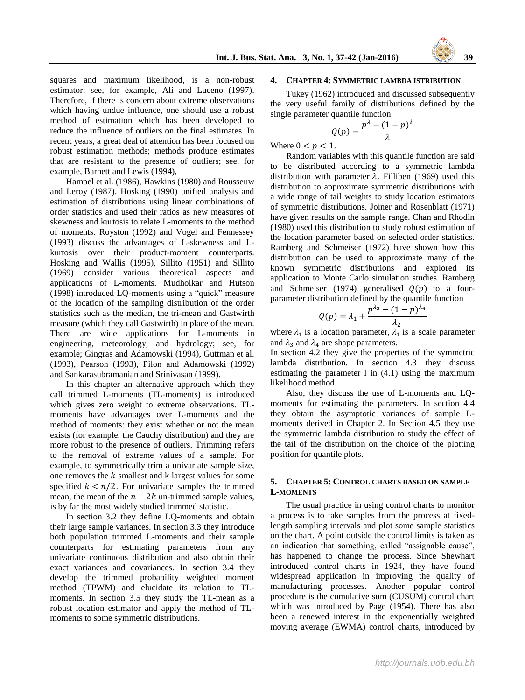

squares and maximum likelihood, is a non-robust estimator; see, for example, Ali and Luceno (1997). Therefore, if there is concern about extreme observations which having undue influence, one should use a robust method of estimation which has been developed to reduce the influence of outliers on the final estimates. In recent years, a great deal of attention has been focused on robust estimation methods; methods produce estimates that are resistant to the presence of outliers; see, for example, Barnett and Lewis (1994),

Hampel et al. (1986), Hawkins (1980) and Rousseuw and Leroy (1987). Hosking (1990) unified analysis and estimation of distributions using linear combinations of order statistics and used their ratios as new measures of skewness and kurtosis to relate L-moments to the method of moments. Royston (1992) and Vogel and Fennessey (1993) discuss the advantages of L-skewness and Lkurtosis over their product-moment counterparts. Hosking and Wallis (1995), Sillito (1951) and Sillito (1969) consider various theoretical aspects and applications of L-moments. Mudholkar and Hutson (1998) introduced LQ-moments using a "quick" measure of the location of the sampling distribution of the order statistics such as the median, the tri-mean and Gastwirth measure (which they call Gastwirth) in place of the mean. There are wide applications for L-moments in engineering, meteorology, and hydrology; see, for example; Gingras and Adamowski (1994), Guttman et al. (1993), Pearson (1993), Pilon and Adamowski (1992) and Sankarasubramanian and Srinivasan (1999).

In this chapter an alternative approach which they call trimmed L-moments (TL-moments) is introduced which gives zero weight to extreme observations. TLmoments have advantages over L-moments and the method of moments: they exist whether or not the mean exists (for example, the Cauchy distribution) and they are more robust to the presence of outliers. Trimming refers to the removal of extreme values of a sample. For example, to symmetrically trim a univariate sample size, one removes the  $k$  smallest and  $k$  largest values for some specified  $k < n/2$ . For univariate samples the trimmed mean, the mean of the  $n-2k$  un-trimmed sample values, is by far the most widely studied trimmed statistic.

In section 3.2 they define LQ-moments and obtain their large sample variances. In section 3.3 they introduce both population trimmed L-moments and their sample counterparts for estimating parameters from any univariate continuous distribution and also obtain their exact variances and covariances. In section 3.4 they develop the trimmed probability weighted moment method (TPWM) and elucidate its relation to TLmoments. In section 3.5 they study the TL-mean as a robust location estimator and apply the method of TLmoments to some symmetric distributions.

### **4. CHAPTER 4: SYMMETRIC LAMBDA ISTRIBUTION**

Tukey (1962) introduced and discussed subsequently the very useful family of distributions defined by the single parameter quantile function

$$
Q(p) = \frac{p^{\lambda} - (1 - p)^{\lambda}}{\lambda}
$$

Where  $0 < p < 1$ .

Random variables with this quantile function are said to be distributed according to a symmetric lambda distribution with parameter  $\lambda$ . Filliben (1969) used this distribution to approximate symmetric distributions with a wide range of tail weights to study location estimators of symmetric distributions. Joiner and Rosenblatt (1971) have given results on the sample range. Chan and Rhodin (1980) used this distribution to study robust estimation of the location parameter based on selected order statistics. Ramberg and Schmeiser (1972) have shown how this distribution can be used to approximate many of the known symmetric distributions and explored its application to Monte Carlo simulation studies. Ramberg and Schmeiser (1974) generalised  $Q(p)$  to a fourparameter distribution defined by the quantile function

$$
Q(p) = \lambda_1 + \frac{p^{\lambda_3} - (1 - p)^{\lambda_4}}{\lambda_2}
$$

where  $\lambda_1$  is a location parameter,  $\lambda_1$  is a scale parameter and  $\lambda_3$  and  $\lambda_4$  are shape parameters.

In section 4.2 they give the properties of the symmetric lambda distribution. In section 4.3 they discuss estimating the parameter l in (4.1) using the maximum likelihood method.

Also, they discuss the use of L-moments and LQmoments for estimating the parameters. In section 4.4 they obtain the asymptotic variances of sample Lmoments derived in Chapter 2. In Section 4.5 they use the symmetric lambda distribution to study the effect of the tail of the distribution on the choice of the plotting position for quantile plots.

# **5. CHAPTER 5: CONTROL CHARTS BASED ON SAMPLE L-MOMENTS**

The usual practice in using control charts to monitor a process is to take samples from the process at fixedlength sampling intervals and plot some sample statistics on the chart. A point outside the control limits is taken as an indication that something, called "assignable cause", has happened to change the process. Since Shewhart introduced control charts in 1924, they have found widespread application in improving the quality of manufacturing processes. Another popular control procedure is the cumulative sum (CUSUM) control chart which was introduced by Page (1954). There has also been a renewed interest in the exponentially weighted moving average (EWMA) control charts, introduced by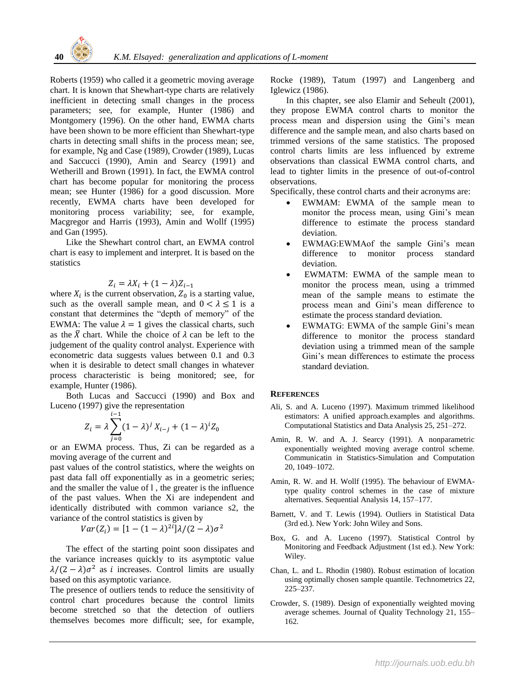Roberts (1959) who called it a geometric moving average chart. It is known that Shewhart-type charts are relatively inefficient in detecting small changes in the process parameters; see, for example, Hunter (1986) and Montgomery (1996). On the other hand, EWMA charts have been shown to be more efficient than Shewhart-type charts in detecting small shifts in the process mean; see, for example, Ng and Case (1989), Crowder (1989), Lucas and Saccucci (1990), Amin and Searcy (1991) and Wetherill and Brown (1991). In fact, the EWMA control chart has become popular for monitoring the process mean; see Hunter (1986) for a good discussion. More recently, EWMA charts have been developed for monitoring process variability; see, for example, Macgregor and Harris (1993), Amin and Wollf (1995) and Gan (1995).

Like the Shewhart control chart, an EWMA control chart is easy to implement and interpret. It is based on the statistics

# Z

where  $X_i$  is the current observation,  $Z_0$  is a starting value, such as the overall sample mean, and  $0 < \lambda \le 1$  is a constant that determines the "depth of memory" of the EWMA: The value  $\lambda = 1$  gives the classical charts, such as the  $\bar{X}$  chart. While the choice of  $\lambda$  can be left to the judgement of the quality control analyst. Experience with econometric data suggests values between 0.1 and 0.3 when it is desirable to detect small changes in whatever process characteristic is being monitored; see, for example, Hunter (1986).

Both Lucas and Saccucci (1990) and Box and Luceno (1997) give the representation

$$
Z_i = \lambda \sum_{j=0}^{i-1} (1 - \lambda)^j X_{i-j} + (1 - \lambda)^i Z_0
$$

or an EWMA process. Thus, Zi can be regarded as a moving average of the current and

past values of the control statistics, where the weights on past data fall off exponentially as in a geometric series; and the smaller the value of l , the greater is the influence of the past values. When the Xi are independent and identically distributed with common variance s2, the variance of the control statistics is given by

$$
Var(Z_i) = [1 - (1 - \lambda)^{2i}] \lambda / (2 - \lambda) \sigma^2
$$

The effect of the starting point soon dissipates and the variance increases quickly to its asymptotic value  $\lambda/(2-\lambda)\sigma^2$  as i increases. Control limits are usually based on this asymptotic variance.

The presence of outliers tends to reduce the sensitivity of control chart procedures because the control limits become stretched so that the detection of outliers themselves becomes more difficult; see, for example,

Rocke (1989), Tatum (1997) and Langenberg and Iglewicz (1986).

In this chapter, see also Elamir and Seheult (2001), they propose EWMA control charts to monitor the process mean and dispersion using the Gini's mean difference and the sample mean, and also charts based on trimmed versions of the same statistics. The proposed control charts limits are less influenced by extreme observations than classical EWMA control charts, and lead to tighter limits in the presence of out-of-control observations.

Specifically, these control charts and their acronyms are:

- EWMAM: EWMA of the sample mean to monitor the process mean, using Gini's mean difference to estimate the process standard deviation.
- EWMAG:EWMAof the sample Gini's mean difference to monitor process standard deviation.
- EWMATM: EWMA of the sample mean to monitor the process mean, using a trimmed mean of the sample means to estimate the process mean and Gini's mean difference to estimate the process standard deviation.
- EWMATG: EWMA of the sample Gini's mean difference to monitor the process standard deviation using a trimmed mean of the sample Gini's mean differences to estimate the process standard deviation.

#### **REFERENCES**

- Ali, S. and A. Luceno (1997). Maximum trimmed likelihood estimators: A unified approach.examples and algorithms. Computational Statistics and Data Analysis 25, 251–272.
- Amin, R. W. and A. J. Searcy (1991). A nonparametric exponentially weighted moving average control scheme. Communicatin in Statistics-Simulation and Computation 20, 1049–1072.
- Amin, R. W. and H. Wollf (1995). The behaviour of EWMAtype quality control schemes in the case of mixture alternatives. Sequential Analysis 14, 157–177.
- Barnett, V. and T. Lewis (1994). Outliers in Statistical Data (3rd ed.). New York: John Wiley and Sons.
- Box, G. and A. Luceno (1997). Statistical Control by Monitoring and Feedback Adjustment (1st ed.). New York: Wiley.
- Chan, L. and L. Rhodin (1980). Robust estimation of location using optimally chosen sample quantile. Technometrics 22, 225–237.
- Crowder, S. (1989). Design of exponentially weighted moving average schemes. Journal of Quality Technology 21, 155– 162.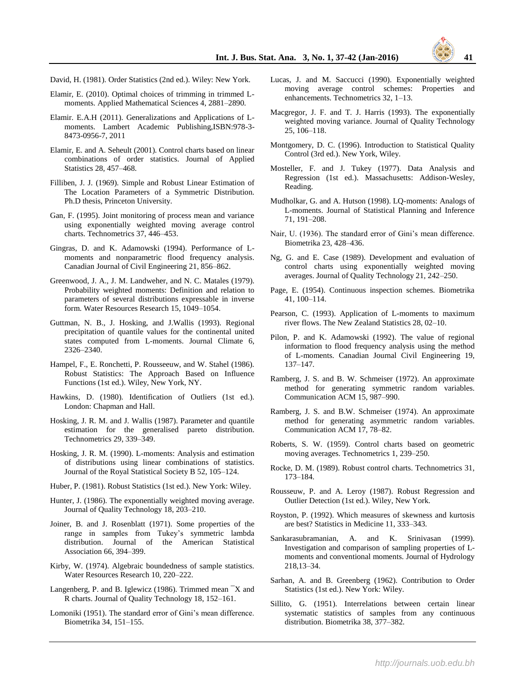

- Elamir, E. (2010). Optimal choices of trimming in trimmed Lmoments. Applied Mathematical Sciences 4, 2881–2890.
- Elamir. E.A.H (2011). Generalizations and Applications of Lmoments. Lambert Academic Publishing,ISBN:978-3- 8473-0956-7, 2011
- Elamir, E. and A. Seheult (2001). Control charts based on linear combinations of order statistics. Journal of Applied Statistics 28, 457–468.
- Filliben, J. J. (1969). Simple and Robust Linear Estimation of The Location Parameters of a Symmetric Distribution. Ph.D thesis, Princeton University.
- Gan, F. (1995). Joint monitoring of process mean and variance using exponentially weighted moving average control charts. Technometrics 37, 446–453.
- Gingras, D. and K. Adamowski (1994). Performance of Lmoments and nonparametric flood frequency analysis. Canadian Journal of Civil Engineering 21, 856–862.
- Greenwood, J. A., J. M. Landweher, and N. C. Matales (1979). Probability weighted moments: Definition and relation to parameters of several distributions expressable in inverse form. Water Resources Research 15, 1049–1054.
- Guttman, N. B., J. Hosking, and J.Wallis (1993). Regional precipitation of quantile values for the continental united states computed from L-moments. Journal Climate 6, 2326–2340.
- Hampel, F., E. Ronchetti, P. Rousseeuw, and W. Stahel (1986). Robust Statistics: The Approach Based on Influence Functions (1st ed.). Wiley, New York, NY.
- Hawkins, D. (1980). Identification of Outliers (1st ed.). London: Chapman and Hall.
- Hosking, J. R. M. and J. Wallis (1987). Parameter and quantile estimation for the generalised pareto distribution. Technometrics 29, 339–349.
- Hosking, J. R. M. (1990). L-moments: Analysis and estimation of distributions using linear combinations of statistics. Journal of the Royal Statistical Society B 52, 105–124.
- Huber, P. (1981). Robust Statistics (1st ed.). New York: Wiley.
- Hunter, J. (1986). The exponentially weighted moving average. Journal of Quality Technology 18, 203–210.
- Joiner, B. and J. Rosenblatt (1971). Some properties of the range in samples from Tukey's symmetric lambda distribution. Journal of the American Statistical Association 66, 394–399.
- Kirby, W. (1974). Algebraic boundedness of sample statistics. Water Resources Research 10, 220–222.
- Langenberg, P. and B. Iglewicz (1986). Trimmed mean ¯X and R charts. Journal of Quality Technology 18, 152–161.
- Lomoniki (1951). The standard error of Gini's mean difference. Biometrika 34, 151–155.
- Lucas, J. and M. Saccucci (1990). Exponentially weighted moving average control schemes: Properties and enhancements. Technometrics 32, 1–13.
- Macgregor, J. F. and T. J. Harris (1993). The exponentially weighted moving variance. Journal of Quality Technology 25, 106–118.
- Montgomery, D. C. (1996). Introduction to Statistical Quality Control (3rd ed.). New York, Wiley.
- Mosteller, F. and J. Tukey (1977). Data Analysis and Regression (1st ed.). Massachusetts: Addison-Wesley, Reading.
- Mudholkar, G. and A. Hutson (1998). LQ-moments: Analogs of L-moments. Journal of Statistical Planning and Inference 71, 191–208.
- Nair, U. (1936). The standard error of Gini's mean difference. Biometrika 23, 428–436.
- Ng, G. and E. Case (1989). Development and evaluation of control charts using exponentially weighted moving averages. Journal of Quality Technology 21, 242–250.
- Page, E. (1954). Continuous inspection schemes. Biometrika 41, 100–114.
- Pearson, C. (1993). Application of L-moments to maximum river flows. The New Zealand Statistics 28, 02–10.
- Pilon, P. and K. Adamowski (1992). The value of regional information to flood frequency analysis using the method of L-moments. Canadian Journal Civil Engineering 19, 137–147.
- Ramberg, J. S. and B. W. Schmeiser (1972). An approximate method for generating symmetric random variables. Communication ACM 15, 987–990.
- Ramberg, J. S. and B.W. Schmeiser (1974). An approximate method for generating asymmetric random variables. Communication ACM 17, 78–82.
- Roberts, S. W. (1959). Control charts based on geometric moving averages. Technometrics 1, 239–250.
- Rocke, D. M. (1989). Robust control charts. Technometrics 31, 173–184.
- Rousseuw, P. and A. Leroy (1987). Robust Regression and Outlier Detection (1st ed.). Wiley, New York.
- Royston, P. (1992). Which measures of skewness and kurtosis are best? Statistics in Medicine 11, 333–343.
- Sankarasubramanian, A. and K. Srinivasan (1999). Investigation and comparison of sampling properties of Lmoments and conventional moments. Journal of Hydrology 218,13–34.
- Sarhan, A. and B. Greenberg (1962). Contribution to Order Statistics (1st ed.). New York: Wiley.
- Sillito, G. (1951). Interrelations between certain linear systematic statistics of samples from any continuous distribution. Biometrika 38, 377–382.